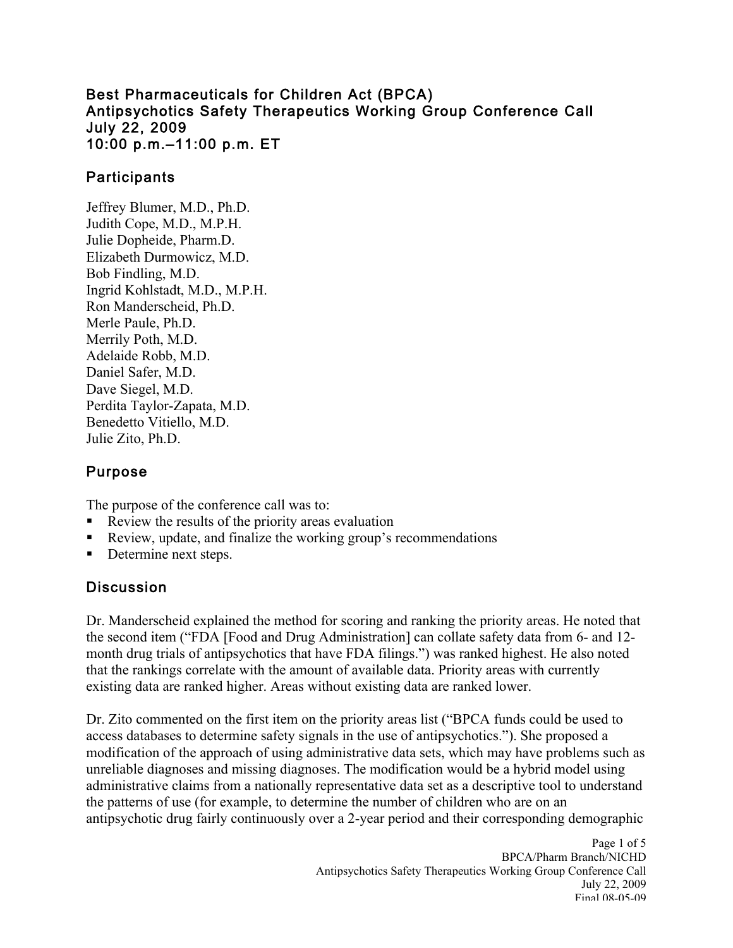### Best Pharmaceuticals for Children Act (BPCA) Antipsychotics Safety Therapeutics Working Group Conference Call July 22, 2009 10:00 p.m.–11:00 p.m. ET

# **Participants**

Jeffrey Blumer, M.D., Ph.D. Judith Cope, M.D., M.P.H. Julie Dopheide, Pharm.D. Elizabeth Durmowicz, M.D. Bob Findling, M.D. Ingrid Kohlstadt, M.D., M.P.H. Ron Manderscheid, Ph.D. Merle Paule, Ph.D. Merrily Poth, M.D. Adelaide Robb, M.D. Daniel Safer, M.D. Dave Siegel, M.D. Perdita Taylor-Zapata, M.D. Benedetto Vitiello, M.D. Julie Zito, Ph.D.

## Purpose

The purpose of the conference call was to:

- Review the results of the priority areas evaluation
- Review, update, and finalize the working group's recommendations
- Determine next steps.

# **Discussion**

Dr. Manderscheid explained the method for scoring and ranking the priority areas. He noted that the second item ("FDA [Food and Drug Administration] can collate safety data from 6- and 12 month drug trials of antipsychotics that have FDA filings.") was ranked highest. He also noted that the rankings correlate with the amount of available data. Priority areas with currently existing data are ranked higher. Areas without existing data are ranked lower.

Dr. Zito commented on the first item on the priority areas list ("BPCA funds could be used to access databases to determine safety signals in the use of antipsychotics."). She proposed a modification of the approach of using administrative data sets, which may have problems such as unreliable diagnoses and missing diagnoses. The modification would be a hybrid model using administrative claims from a nationally representative data set as a descriptive tool to understand the patterns of use (for example, to determine the number of children who are on an antipsychotic drug fairly continuously over a 2-year period and their corresponding demographic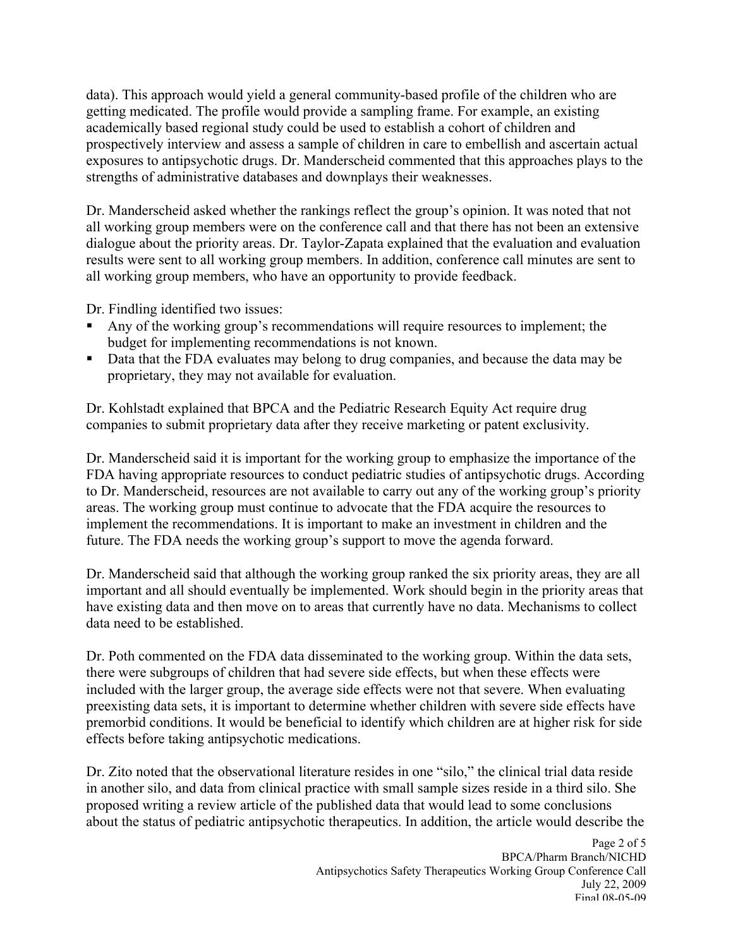data). This approach would yield a general community-based profile of the children who are getting medicated. The profile would provide a sampling frame. For example, an existing academically based regional study could be used to establish a cohort of children and prospectively interview and assess a sample of children in care to embellish and ascertain actual exposures to antipsychotic drugs. Dr. Manderscheid commented that this approaches plays to the strengths of administrative databases and downplays their weaknesses.

Dr. Manderscheid asked whether the rankings reflect the group's opinion. It was noted that not all working group members were on the conference call and that there has not been an extensive dialogue about the priority areas. Dr. Taylor-Zapata explained that the evaluation and evaluation results were sent to all working group members. In addition, conference call minutes are sent to all working group members, who have an opportunity to provide feedback.

Dr. Findling identified two issues:

- Any of the working group's recommendations will require resources to implement; the budget for implementing recommendations is not known.
- Data that the FDA evaluates may belong to drug companies, and because the data may be proprietary, they may not available for evaluation.

Dr. Kohlstadt explained that BPCA and the Pediatric Research Equity Act require drug companies to submit proprietary data after they receive marketing or patent exclusivity.

Dr. Manderscheid said it is important for the working group to emphasize the importance of the FDA having appropriate resources to conduct pediatric studies of antipsychotic drugs. According to Dr. Manderscheid, resources are not available to carry out any of the working group's priority areas. The working group must continue to advocate that the FDA acquire the resources to implement the recommendations. It is important to make an investment in children and the future. The FDA needs the working group's support to move the agenda forward.

Dr. Manderscheid said that although the working group ranked the six priority areas, they are all important and all should eventually be implemented. Work should begin in the priority areas that have existing data and then move on to areas that currently have no data. Mechanisms to collect data need to be established.

Dr. Poth commented on the FDA data disseminated to the working group. Within the data sets, there were subgroups of children that had severe side effects, but when these effects were included with the larger group, the average side effects were not that severe. When evaluating preexisting data sets, it is important to determine whether children with severe side effects have premorbid conditions. It would be beneficial to identify which children are at higher risk for side effects before taking antipsychotic medications.

Dr. Zito noted that the observational literature resides in one "silo," the clinical trial data reside in another silo, and data from clinical practice with small sample sizes reside in a third silo. She proposed writing a review article of the published data that would lead to some conclusions about the status of pediatric antipsychotic therapeutics. In addition, the article would describe the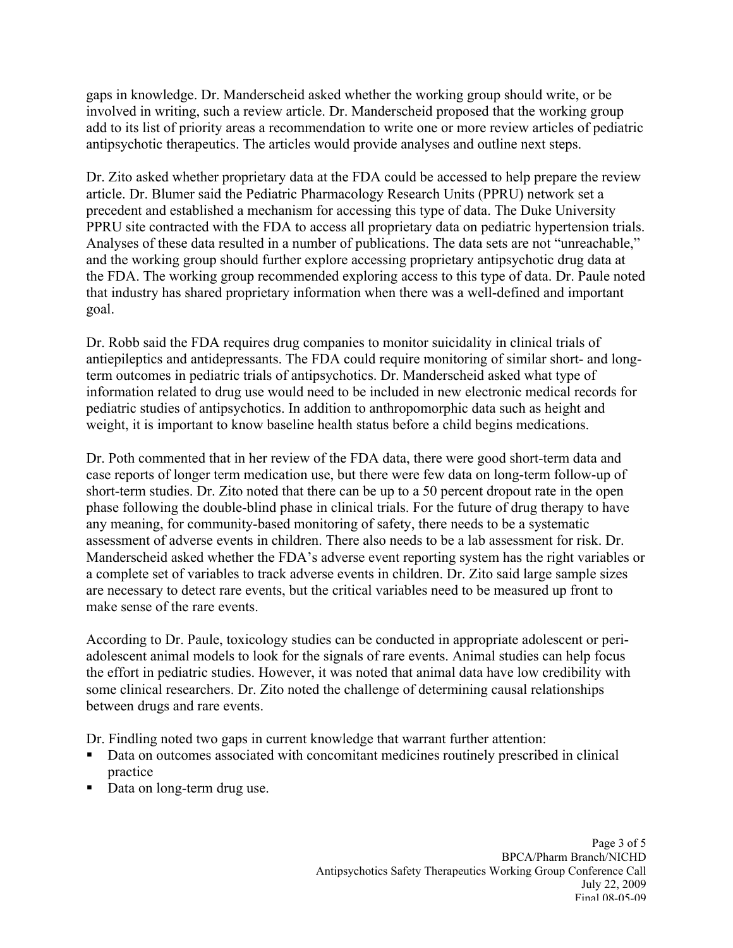gaps in knowledge. Dr. Manderscheid asked whether the working group should write, or be involved in writing, such a review article. Dr. Manderscheid proposed that the working group add to its list of priority areas a recommendation to write one or more review articles of pediatric antipsychotic therapeutics. The articles would provide analyses and outline next steps.

Dr. Zito asked whether proprietary data at the FDA could be accessed to help prepare the review article. Dr. Blumer said the Pediatric Pharmacology Research Units (PPRU) network set a precedent and established a mechanism for accessing this type of data. The Duke University PPRU site contracted with the FDA to access all proprietary data on pediatric hypertension trials. Analyses of these data resulted in a number of publications. The data sets are not "unreachable," and the working group should further explore accessing proprietary antipsychotic drug data at the FDA. The working group recommended exploring access to this type of data. Dr. Paule noted that industry has shared proprietary information when there was a well-defined and important goal.

Dr. Robb said the FDA requires drug companies to monitor suicidality in clinical trials of antiepileptics and antidepressants. The FDA could require monitoring of similar short- and longterm outcomes in pediatric trials of antipsychotics. Dr. Manderscheid asked what type of information related to drug use would need to be included in new electronic medical records for pediatric studies of antipsychotics. In addition to anthropomorphic data such as height and weight, it is important to know baseline health status before a child begins medications.

Dr. Poth commented that in her review of the FDA data, there were good short-term data and case reports of longer term medication use, but there were few data on long-term follow-up of short-term studies. Dr. Zito noted that there can be up to a 50 percent dropout rate in the open phase following the double-blind phase in clinical trials. For the future of drug therapy to have any meaning, for community-based monitoring of safety, there needs to be a systematic assessment of adverse events in children. There also needs to be a lab assessment for risk. Dr. Manderscheid asked whether the FDA's adverse event reporting system has the right variables or a complete set of variables to track adverse events in children. Dr. Zito said large sample sizes are necessary to detect rare events, but the critical variables need to be measured up front to make sense of the rare events.

According to Dr. Paule, toxicology studies can be conducted in appropriate adolescent or periadolescent animal models to look for the signals of rare events. Animal studies can help focus the effort in pediatric studies. However, it was noted that animal data have low credibility with some clinical researchers. Dr. Zito noted the challenge of determining causal relationships between drugs and rare events.

Dr. Findling noted two gaps in current knowledge that warrant further attention:

- Data on outcomes associated with concomitant medicines routinely prescribed in clinical practice
- Data on long-term drug use.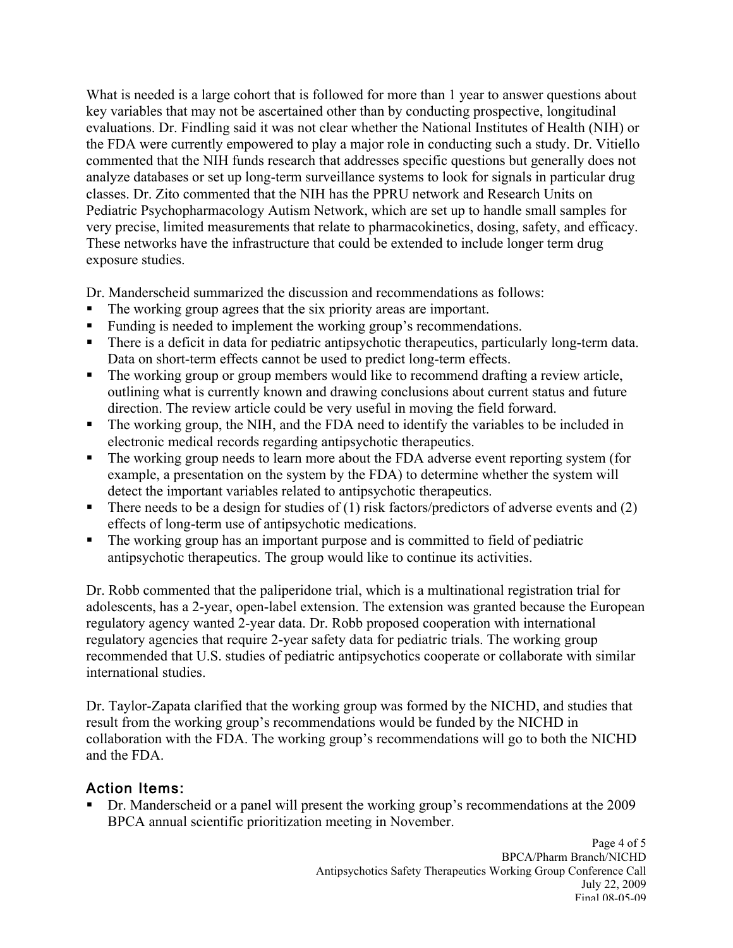What is needed is a large cohort that is followed for more than 1 year to answer questions about key variables that may not be ascertained other than by conducting prospective, longitudinal evaluations. Dr. Findling said it was not clear whether the National Institutes of Health (NIH) or the FDA were currently empowered to play a major role in conducting such a study. Dr. Vitiello commented that the NIH funds research that addresses specific questions but generally does not analyze databases or set up long-term surveillance systems to look for signals in particular drug classes. Dr. Zito commented that the NIH has the PPRU network and Research Units on Pediatric Psychopharmacology Autism Network, which are set up to handle small samples for very precise, limited measurements that relate to pharmacokinetics, dosing, safety, and efficacy. These networks have the infrastructure that could be extended to include longer term drug exposure studies.

Dr. Manderscheid summarized the discussion and recommendations as follows:

- The working group agrees that the six priority areas are important.
- Funding is needed to implement the working group's recommendations.
- There is a deficit in data for pediatric antipsychotic therapeutics, particularly long-term data. Data on short-term effects cannot be used to predict long-term effects.
- The working group or group members would like to recommend drafting a review article, outlining what is currently known and drawing conclusions about current status and future direction. The review article could be very useful in moving the field forward.
- The working group, the NIH, and the FDA need to identify the variables to be included in electronic medical records regarding antipsychotic therapeutics.
- The working group needs to learn more about the FDA adverse event reporting system (for example, a presentation on the system by the FDA) to determine whether the system will detect the important variables related to antipsychotic therapeutics.
- There needs to be a design for studies of  $(1)$  risk factors/predictors of adverse events and  $(2)$ effects of long-term use of antipsychotic medications.
- The working group has an important purpose and is committed to field of pediatric antipsychotic therapeutics. The group would like to continue its activities.

Dr. Robb commented that the paliperidone trial, which is a multinational registration trial for adolescents, has a 2-year, open-label extension. The extension was granted because the European regulatory agency wanted 2-year data. Dr. Robb proposed cooperation with international regulatory agencies that require 2-year safety data for pediatric trials. The working group recommended that U.S. studies of pediatric antipsychotics cooperate or collaborate with similar international studies.

Dr. Taylor-Zapata clarified that the working group was formed by the NICHD, and studies that result from the working group's recommendations would be funded by the NICHD in collaboration with the FDA. The working group's recommendations will go to both the NICHD and the FDA.

# Action Items:

 Dr. Manderscheid or a panel will present the working group's recommendations at the 2009 BPCA annual scientific prioritization meeting in November.